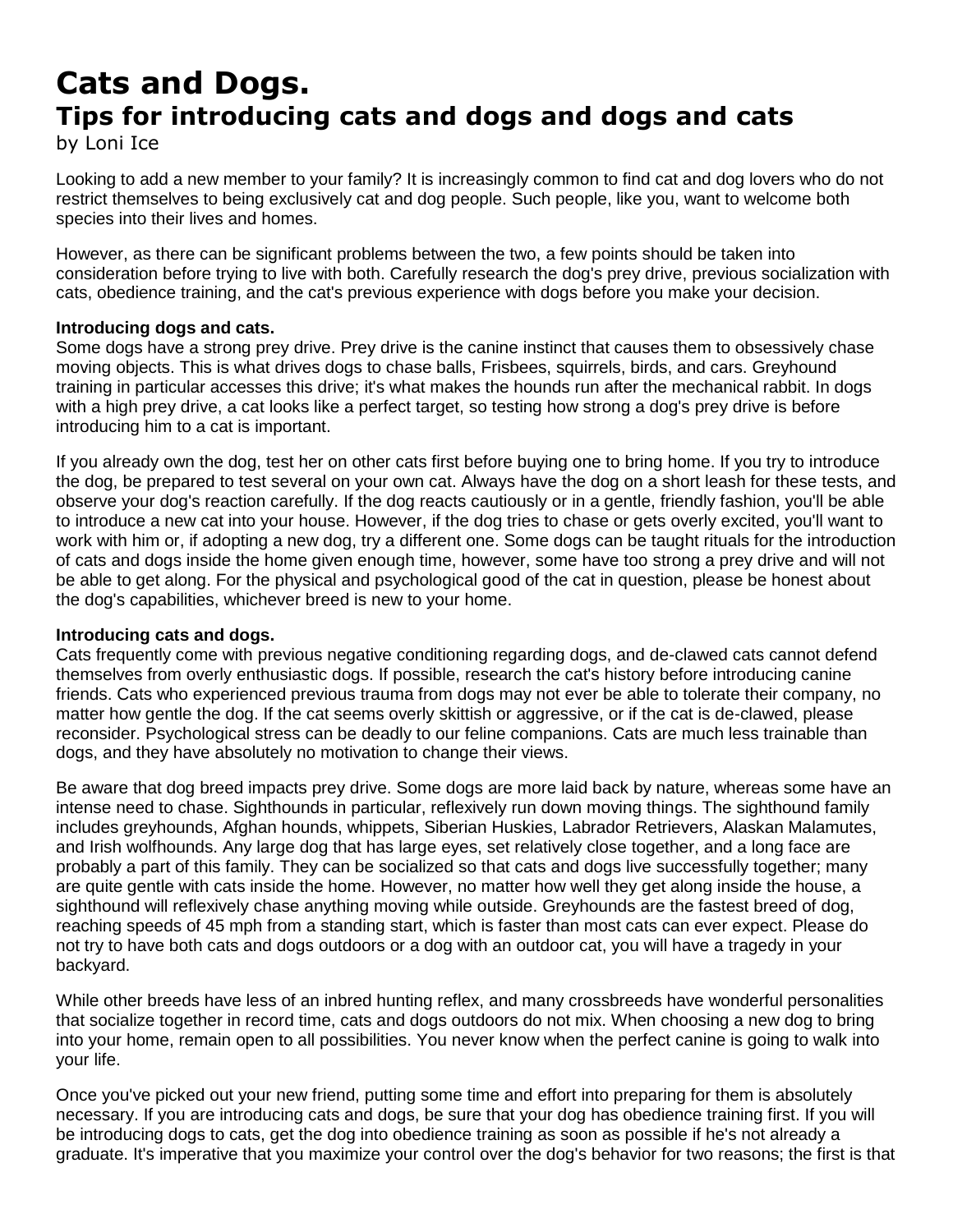# **Cats and Dogs. Tips for introducing cats and dogs and dogs and cats**

by Loni Ice

Looking to add a new member to your family? It is increasingly common to find cat and dog lovers who do not restrict themselves to being exclusively cat and dog people. Such people, like you, want to welcome both species into their lives and homes.

However, as there can be significant problems between the two, a few points should be taken into consideration before trying to live with both. Carefully research the dog's prey drive, previous socialization with cats, obedience training, and the cat's previous experience with dogs before you make your decision.

# **Introducing dogs and cats.**

Some dogs have a strong prey drive. Prey drive is the canine instinct that causes them to obsessively chase moving objects. This is what drives dogs to chase balls, Frisbees, squirrels, birds, and cars. Greyhound training in particular accesses this drive; it's what makes the hounds run after the mechanical rabbit. In dogs with a high prey drive, a cat looks like a perfect target, so testing how strong a dog's prey drive is before introducing him to a cat is important.

If you already own the dog, test her on other cats first before buying one to bring home. If you try to introduce the dog, be prepared to test several on your own cat. Always have the dog on a short leash for these tests, and observe your dog's reaction carefully. If the dog reacts cautiously or in a gentle, friendly fashion, you'll be able to introduce a new cat into your house. However, if the dog tries to chase or gets overly excited, you'll want to work with him or, if adopting a new dog, try a different one. Some dogs can be taught rituals for the introduction of cats and dogs inside the home given enough time, however, some have too strong a prey drive and will not be able to get along. For the physical and psychological good of the cat in question, please be honest about the dog's capabilities, whichever breed is new to your home.

## **Introducing cats and dogs.**

Cats frequently come with previous negative conditioning regarding dogs, and de-clawed cats cannot defend themselves from overly enthusiastic dogs. If possible, research the cat's history before introducing canine friends. Cats who experienced previous trauma from dogs may not ever be able to tolerate their company, no matter how gentle the dog. If the cat seems overly skittish or aggressive, or if the cat is de-clawed, please reconsider. Psychological stress can be deadly to our feline companions. Cats are much less trainable than dogs, and they have absolutely no motivation to change their views.

Be aware that dog breed impacts prey drive. Some dogs are more laid back by nature, whereas some have an intense need to chase. Sighthounds in particular, reflexively run down moving things. The sighthound family includes greyhounds, Afghan hounds, whippets, Siberian Huskies, Labrador Retrievers, Alaskan Malamutes, and Irish wolfhounds. Any large dog that has large eyes, set relatively close together, and a long face are probably a part of this family. They can be socialized so that cats and dogs live successfully together; many are quite gentle with cats inside the home. However, no matter how well they get along inside the house, a sighthound will reflexively chase anything moving while outside. Greyhounds are the fastest breed of dog, reaching speeds of 45 mph from a standing start, which is faster than most cats can ever expect. Please do not try to have both cats and dogs outdoors or a dog with an outdoor cat, you will have a tragedy in your backyard.

While other breeds have less of an inbred hunting reflex, and many crossbreeds have wonderful personalities that socialize together in record time, cats and dogs outdoors do not mix. When choosing a new dog to bring into your home, remain open to all possibilities. You never know when the perfect canine is going to walk into your life.

Once you've picked out your new friend, putting some time and effort into preparing for them is absolutely necessary. If you are introducing cats and dogs, be sure that your dog has obedience training first. If you will be introducing dogs to cats, get the dog into obedience training as soon as possible if he's not already a graduate. It's imperative that you maximize your control over the dog's behavior for two reasons; the first is that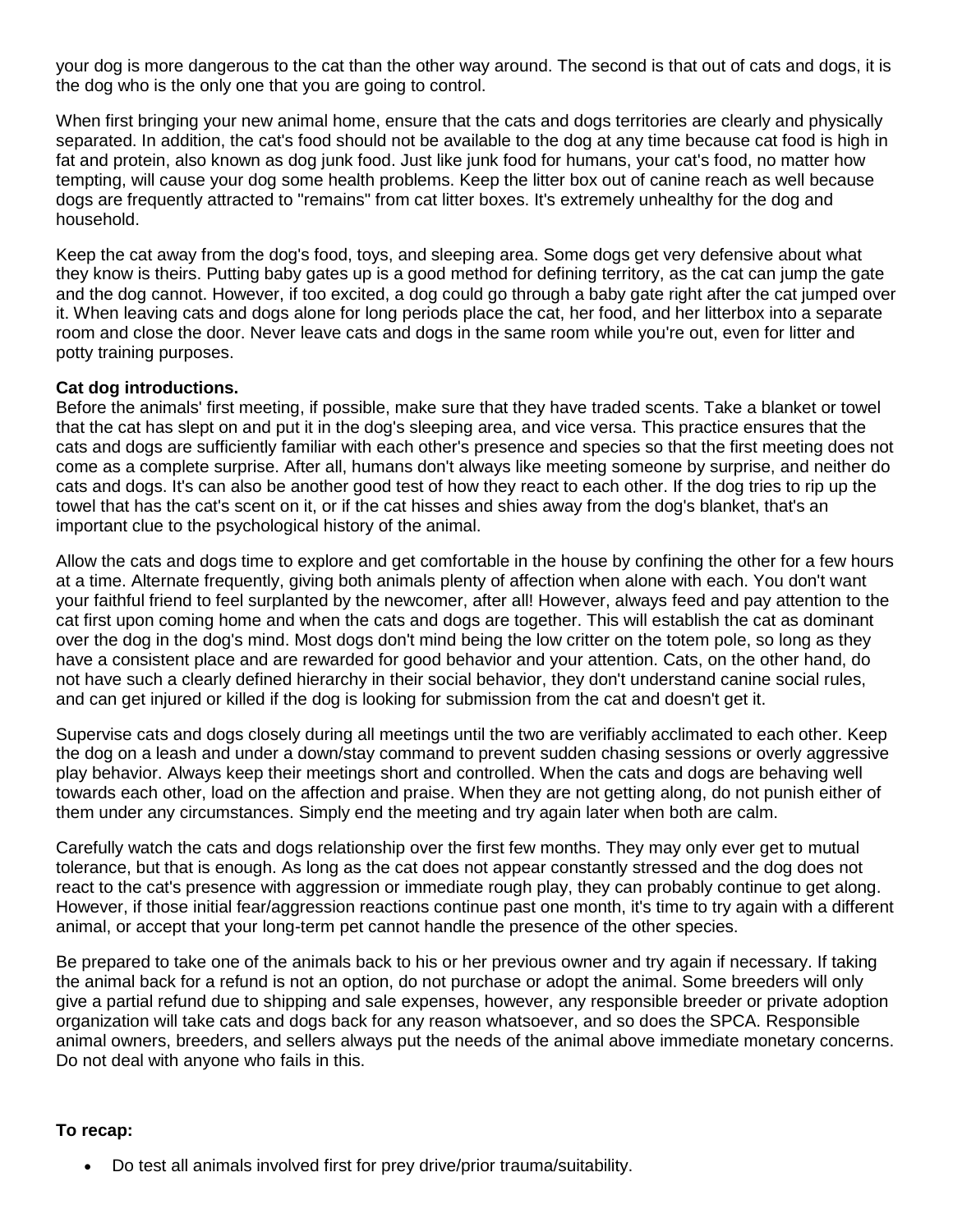your dog is more dangerous to the cat than the other way around. The second is that out of cats and dogs, it is the dog who is the only one that you are going to control.

When first bringing your new animal home, ensure that the cats and dogs territories are clearly and physically separated. In addition, the cat's food should not be available to the dog at any time because cat food is high in fat and protein, also known as dog junk food. Just like junk food for humans, your cat's food, no matter how tempting, will cause your dog some health problems. Keep the litter box out of canine reach as well because dogs are frequently attracted to "remains" from cat litter boxes. It's extremely unhealthy for the dog and household.

Keep the cat away from the dog's food, toys, and sleeping area. Some dogs get very defensive about what they know is theirs. Putting baby gates up is a good method for defining territory, as the cat can jump the gate and the dog cannot. However, if too excited, a dog could go through a baby gate right after the cat jumped over it. When leaving cats and dogs alone for long periods place the cat, her food, and her litterbox into a separate room and close the door. Never leave cats and dogs in the same room while you're out, even for litter and potty training purposes.

#### **Cat dog introductions.**

Before the animals' first meeting, if possible, make sure that they have traded scents. Take a blanket or towel that the cat has slept on and put it in the dog's sleeping area, and vice versa. This practice ensures that the cats and dogs are sufficiently familiar with each other's presence and species so that the first meeting does not come as a complete surprise. After all, humans don't always like meeting someone by surprise, and neither do cats and dogs. It's can also be another good test of how they react to each other. If the dog tries to rip up the towel that has the cat's scent on it, or if the cat hisses and shies away from the dog's blanket, that's an important clue to the psychological history of the animal.

Allow the cats and dogs time to explore and get comfortable in the house by confining the other for a few hours at a time. Alternate frequently, giving both animals plenty of affection when alone with each. You don't want your faithful friend to feel surplanted by the newcomer, after all! However, always feed and pay attention to the cat first upon coming home and when the cats and dogs are together. This will establish the cat as dominant over the dog in the dog's mind. Most dogs don't mind being the low critter on the totem pole, so long as they have a consistent place and are rewarded for good behavior and your attention. Cats, on the other hand, do not have such a clearly defined hierarchy in their social behavior, they don't understand canine social rules, and can get injured or killed if the dog is looking for submission from the cat and doesn't get it.

Supervise cats and dogs closely during all meetings until the two are verifiably acclimated to each other. Keep the dog on a leash and under a down/stay command to prevent sudden chasing sessions or overly aggressive play behavior. Always keep their meetings short and controlled. When the cats and dogs are behaving well towards each other, load on the affection and praise. When they are not getting along, do not punish either of them under any circumstances. Simply end the meeting and try again later when both are calm.

Carefully watch the cats and dogs relationship over the first few months. They may only ever get to mutual tolerance, but that is enough. As long as the cat does not appear constantly stressed and the dog does not react to the cat's presence with aggression or immediate rough play, they can probably continue to get along. However, if those initial fear/aggression reactions continue past one month, it's time to try again with a different animal, or accept that your long-term pet cannot handle the presence of the other species.

Be prepared to take one of the animals back to his or her previous owner and try again if necessary. If taking the animal back for a refund is not an option, do not purchase or adopt the animal. Some breeders will only give a partial refund due to shipping and sale expenses, however, any responsible breeder or private adoption organization will take cats and dogs back for any reason whatsoever, and so does the SPCA. Responsible animal owners, breeders, and sellers always put the needs of the animal above immediate monetary concerns. Do not deal with anyone who fails in this.

## **To recap:**

Do test all animals involved first for prey drive/prior trauma/suitability.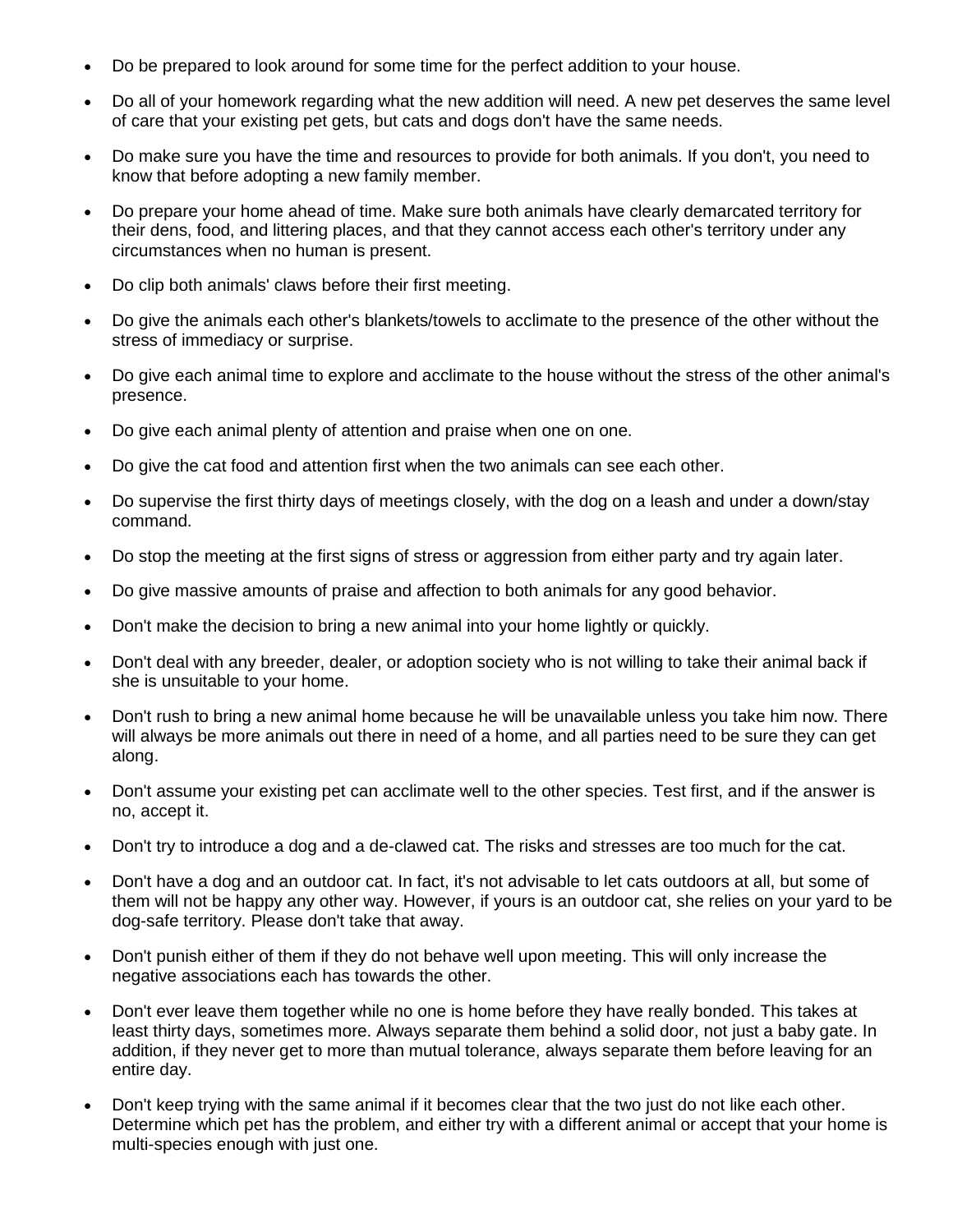- Do be prepared to look around for some time for the perfect addition to your house.
- Do all of your homework regarding what the new addition will need. A new pet deserves the same level of care that your existing pet gets, but cats and dogs don't have the same needs.
- Do make sure you have the time and resources to provide for both animals. If you don't, you need to know that before adopting a new family member.
- Do prepare your home ahead of time. Make sure both animals have clearly demarcated territory for their dens, food, and littering places, and that they cannot access each other's territory under any circumstances when no human is present.
- Do clip both animals' claws before their first meeting.
- Do give the animals each other's blankets/towels to acclimate to the presence of the other without the stress of immediacy or surprise.
- Do give each animal time to explore and acclimate to the house without the stress of the other animal's presence.
- Do give each animal plenty of attention and praise when one on one.
- Do give the cat food and attention first when the two animals can see each other.
- Do supervise the first thirty days of meetings closely, with the dog on a leash and under a down/stay command.
- Do stop the meeting at the first signs of stress or aggression from either party and try again later.
- Do give massive amounts of praise and affection to both animals for any good behavior.
- Don't make the decision to bring a new animal into your home lightly or quickly.
- Don't deal with any breeder, dealer, or adoption society who is not willing to take their animal back if she is unsuitable to your home.
- Don't rush to bring a new animal home because he will be unavailable unless you take him now. There will always be more animals out there in need of a home, and all parties need to be sure they can get along.
- Don't assume your existing pet can acclimate well to the other species. Test first, and if the answer is no, accept it.
- Don't try to introduce a dog and a de-clawed cat. The risks and stresses are too much for the cat.
- Don't have a dog and an outdoor cat. In fact, it's not advisable to let cats outdoors at all, but some of them will not be happy any other way. However, if yours is an outdoor cat, she relies on your yard to be dog-safe territory. Please don't take that away.
- Don't punish either of them if they do not behave well upon meeting. This will only increase the negative associations each has towards the other.
- Don't ever leave them together while no one is home before they have really bonded. This takes at least thirty days, sometimes more. Always separate them behind a solid door, not just a baby gate. In addition, if they never get to more than mutual tolerance, always separate them before leaving for an entire day.
- Don't keep trying with the same animal if it becomes clear that the two just do not like each other. Determine which pet has the problem, and either try with a different animal or accept that your home is multi-species enough with just one.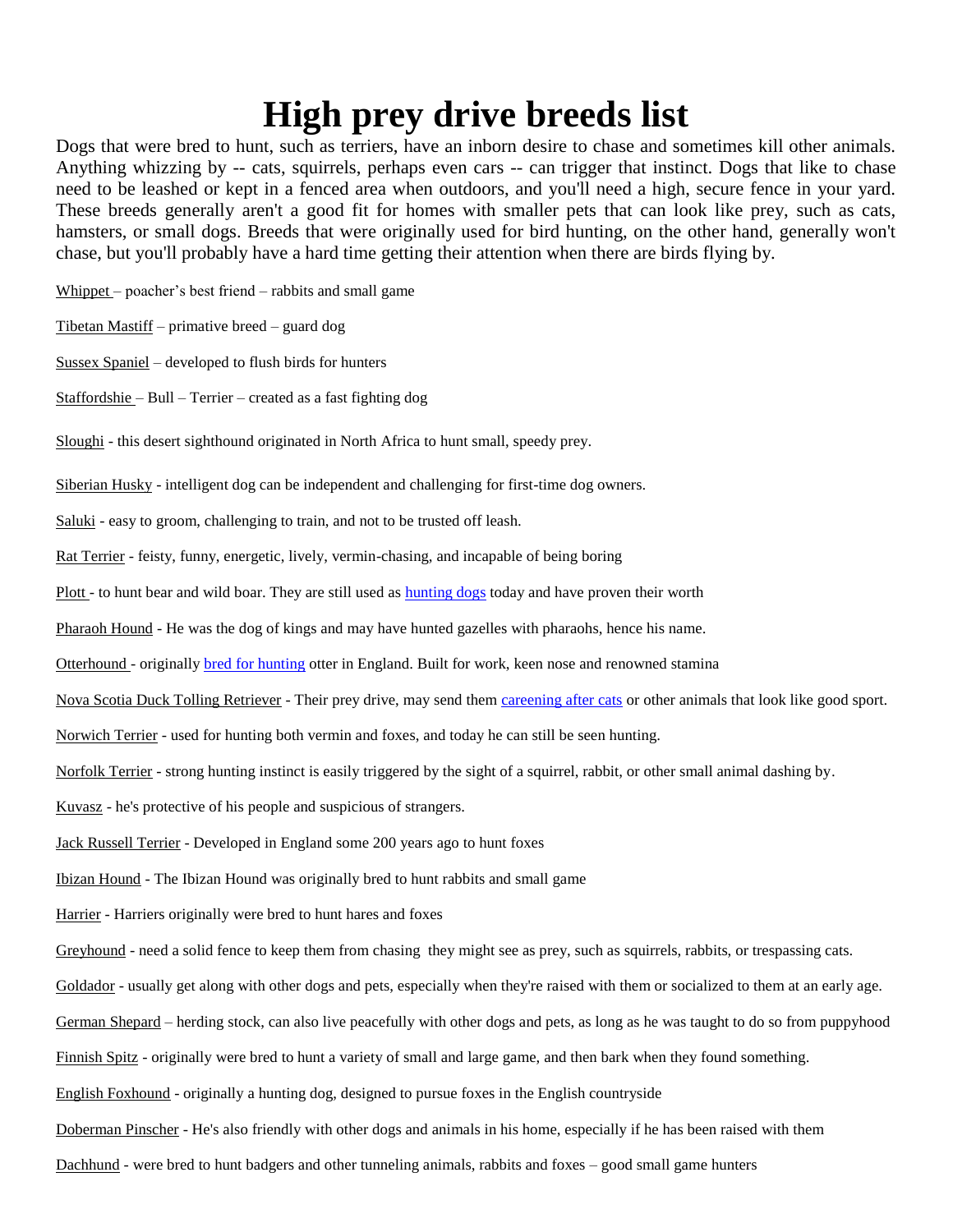# **High prey drive breeds list**

Dogs that were bred to hunt, such as terriers, have an inborn desire to chase and sometimes kill other animals. Anything whizzing by -- cats, squirrels, perhaps even cars -- can trigger that instinct. Dogs that like to chase need to be leashed or kept in a fenced area when outdoors, and you'll need a high, secure fence in your yard. These breeds generally aren't a good fit for homes with smaller pets that can look like prey, such as cats, hamsters, or small dogs. Breeds that were originally used for bird hunting, on the other hand, generally won't chase, but you'll probably have a hard time getting their attention when there are birds flying by.

Whippet – poacher's best friend – rabbits and small game

Tibetan Mastiff – primative breed – guard dog

Sussex Spaniel – developed to flush birds for hunters

Staffordshie – Bull – Terrier – created as a fast fighting dog

Sloughi - this desert sighthound originated in North Africa to hunt small, speedy prey.

Siberian Husky - intelligent dog can be independent and challenging for first-time dog owners.

Saluki - easy to groom, challenging to train, and not to be trusted off leash.

Rat Terrier - feisty, funny, energetic, lively, vermin-chasing, and incapable of being boring

Plott - to hunt bear and wild boar. They are still used as [hunting dogs](/sporting-dogs.html) today and have proven their worth

Pharaoh Hound - He was the dog of kings and may have hunted gazelles with pharaohs, hence his name.

Otterhound - originally [bred for hunting](/sporting-dogs.html) otter in England. Built for work, keen nose and renowned stamina

Nova Scotia Duck Tolling Retriever - Their prey drive, may send them [careening after cats](/chasing.html) or other animals that look like good sport.

Norwich Terrier - used for hunting both vermin and foxes, and today he can still be seen hunting.

Norfolk Terrier - strong hunting instinct is easily triggered by the sight of a squirrel, rabbit, or other small animal dashing by.

Kuvasz - he's protective of his people and suspicious of strangers.

Jack Russell Terrier - Developed in England some 200 years ago to hunt foxes

Ibizan Hound - The Ibizan Hound was originally bred to hunt rabbits and small game

Harrier - Harriers originally were bred to hunt hares and foxes

Greyhound - need a solid fence to keep them from chasing they might see as prey, such as squirrels, rabbits, or trespassing cats.

Goldador - usually get along with other dogs and pets, especially when they're raised with them or socialized to them at an early age.

German Shepard – herding stock, can also live peacefully with other dogs and pets, as long as he was taught to do so from puppyhood

Finnish Spitz - originally were bred to hunt a variety of small and large game, and then bark when they found something.

English Foxhound - originally a hunting dog, designed to pursue foxes in the English countryside

Doberman Pinscher - He's also friendly with other dogs and animals in his home, especially if he has been raised with them

Dachhund - were bred to hunt badgers and other tunneling animals, rabbits and foxes – good small game hunters